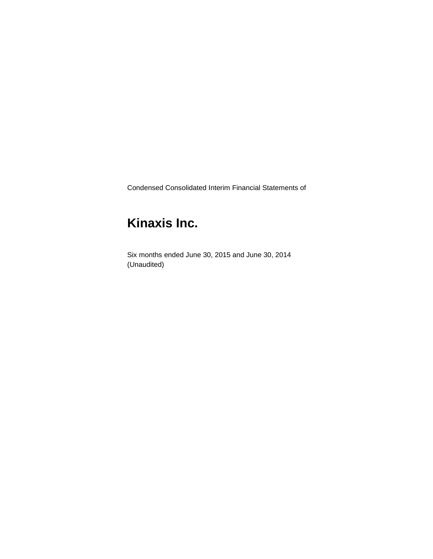Condensed Consolidated Interim Financial Statements of

# **Kinaxis Inc.**

Six months ended June 30, 2015 and June 30, 2014 (Unaudited)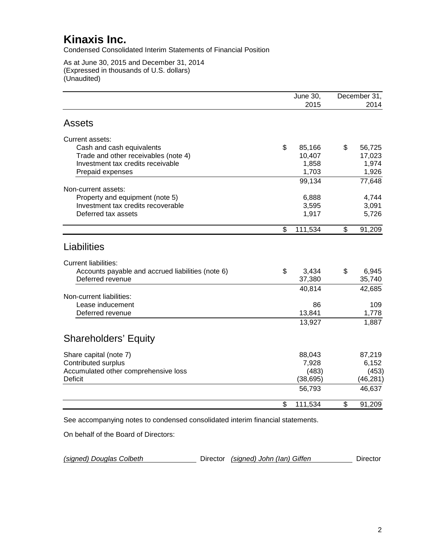Condensed Consolidated Interim Statements of Financial Position

As at June 30, 2015 and December 31, 2014 (Expressed in thousands of U.S. dollars) (Unaudited)

|                                                                                | <b>June 30,</b><br>2015 | December 31,<br>2014 |
|--------------------------------------------------------------------------------|-------------------------|----------------------|
| <b>Assets</b>                                                                  |                         |                      |
| Current assets:                                                                |                         |                      |
| Cash and cash equivalents                                                      | \$<br>85,166            | \$<br>56,725         |
| Trade and other receivables (note 4)                                           | 10,407                  | 17,023               |
| Investment tax credits receivable                                              | 1,858                   | 1,974                |
| Prepaid expenses                                                               | 1,703                   | 1,926                |
| Non-current assets:                                                            | 99,134                  | 77,648               |
| Property and equipment (note 5)                                                | 6,888                   | 4,744                |
| Investment tax credits recoverable                                             | 3,595                   | 3,091                |
| Deferred tax assets                                                            | 1,917                   | 5,726                |
|                                                                                |                         |                      |
|                                                                                | \$<br>111,534           | \$<br>91,209         |
| Liabilities<br><b>Current liabilities:</b>                                     |                         |                      |
| Accounts payable and accrued liabilities (note 6)                              | \$<br>3,434             | \$<br>6,945          |
| Deferred revenue                                                               | 37,380                  | 35,740               |
|                                                                                | 40,814                  | 42,685               |
| Non-current liabilities:<br>Lease inducement                                   | 86                      | 109                  |
| Deferred revenue                                                               | 13,841                  | 1,778                |
|                                                                                |                         |                      |
|                                                                                | 13,927                  | 1,887                |
| <b>Shareholders' Equity</b>                                                    |                         |                      |
| Share capital (note 7)                                                         | 88,043                  | 87,219               |
| <b>Contributed surplus</b>                                                     | 7,928                   | 6,152                |
| Accumulated other comprehensive loss                                           | (483)                   | (453)                |
| <b>Deficit</b>                                                                 | (38, 695)               | (46, 281)            |
|                                                                                | 56,793                  | 46,637               |
|                                                                                | \$<br>111,534           | \$<br>91,209         |
| See accompanying notes to condensed consolidated interim financial statements. |                         |                      |

On behalf of the Board of Directors:

| (signed) Douglas Colbeth |  | Director (signed) John (Ian) Giffen | Director |
|--------------------------|--|-------------------------------------|----------|
|--------------------------|--|-------------------------------------|----------|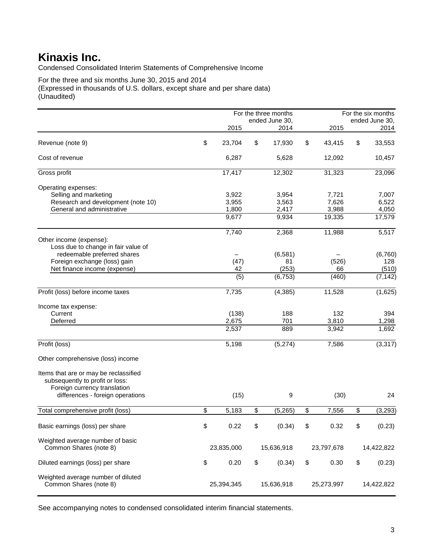Condensed Consolidated Interim Statements of Comprehensive Income

For the three and six months June 30, 2015 and 2014 (Expressed in thousands of U.S. dollars, except share and per share data) (Unaudited)

|                                       |              | For the three months |              | For the six months |
|---------------------------------------|--------------|----------------------|--------------|--------------------|
|                                       |              | ended June 30.       |              | ended June 30,     |
|                                       | 2015         | 2014                 | 2015         | 2014               |
| Revenue (note 9)                      | \$<br>23,704 | \$<br>17,930         | \$<br>43,415 | \$<br>33,553       |
| Cost of revenue                       | 6,287        | 5,628                | 12,092       | 10,457             |
| Gross profit                          | 17,417       | 12,302               | 31,323       | 23,096             |
| Operating expenses:                   |              |                      |              |                    |
| Selling and marketing                 | 3,922        | 3,954                | 7,721        | 7,007              |
| Research and development (note 10)    | 3,955        | 3,563                | 7,626        | 6,522              |
| General and administrative            | 1,800        | 2,417                | 3,988        | 4,050              |
|                                       | 9,677        | 9,934                | 19,335       | 17,579             |
|                                       | 7,740        | 2,368                | 11,988       | 5,517              |
| Other income (expense):               |              |                      |              |                    |
| Loss due to change in fair value of   |              |                      |              |                    |
| redeemable preferred shares           |              | (6, 581)             |              | (6,760)            |
| Foreign exchange (loss) gain          | (47)         | 81                   | (526)        | 128                |
| Net finance income (expense)          | 42           | (253)                | 66           | (510)              |
|                                       | (5)          | (6, 753)             | (460)        | (7, 142)           |
| Profit (loss) before income taxes     | 7,735        | (4, 385)             | 11,528       | (1,625)            |
| Income tax expense:                   |              |                      |              |                    |
| Current                               | (138)        | 188                  | 132          | 394                |
| Deferred                              | 2,675        | 701                  | 3,810        | 1,298              |
|                                       | 2,537        | 889                  | 3,942        | 1,692              |
| Profit (loss)                         | 5,198        | (5,274)              | 7,586        | (3, 317)           |
| Other comprehensive (loss) income     |              |                      |              |                    |
| Items that are or may be reclassified |              |                      |              |                    |
| subsequently to profit or loss:       |              |                      |              |                    |
| Foreign currency translation          |              |                      |              |                    |
| differences - foreign operations      | (15)         | 9                    | (30)         | 24                 |
| Total comprehensive profit (loss)     | \$<br>5,183  | \$<br>(5,265)        | \$<br>7,556  | \$<br>(3, 293)     |
| Basic earnings (loss) per share       | \$<br>0.22   | \$<br>(0.34)         | \$<br>0.32   | \$<br>(0.23)       |
|                                       |              |                      |              |                    |
| Weighted average number of basic      |              |                      |              |                    |
| Common Shares (note 8)                | 23,835,000   | 15,636,918           | 23,797,678   | 14,422,822         |
|                                       |              |                      |              |                    |
| Diluted earnings (loss) per share     | \$<br>0.20   | \$<br>(0.34)         | \$<br>0.30   | \$<br>(0.23)       |
|                                       |              |                      |              |                    |
| Weighted average number of diluted    |              |                      |              |                    |
| Common Shares (note 8)                | 25,394,345   | 15,636,918           | 25,273,997   | 14,422,822         |
|                                       |              |                      |              |                    |

See accompanying notes to condensed consolidated interim financial statements.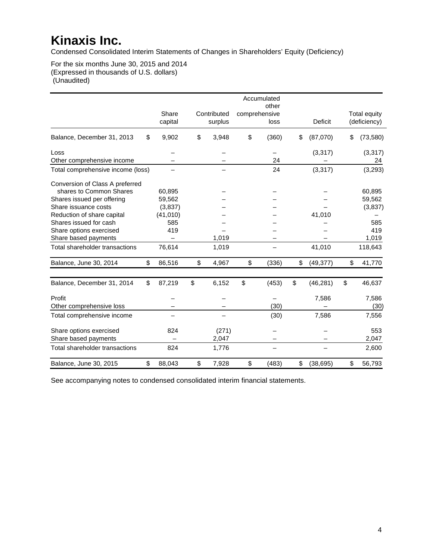Condensed Consolidated Interim Statements of Changes in Shareholders' Equity (Deficiency)

For the six months June 30, 2015 and 2014 (Expressed in thousands of U.S. dollars) (Unaudited)

|                                   |                  |                        | Accumulated<br>other  |                 |                                     |
|-----------------------------------|------------------|------------------------|-----------------------|-----------------|-------------------------------------|
|                                   | Share<br>capital | Contributed<br>surplus | comprehensive<br>loss | <b>Deficit</b>  | <b>Total equity</b><br>(deficiency) |
| Balance, December 31, 2013        | \$<br>9,902      | \$<br>3,948            | \$<br>(360)           | \$<br>(87,070)  | \$<br>(73, 580)                     |
| Loss                              |                  |                        |                       | (3, 317)        | (3, 317)                            |
| Other comprehensive income        |                  |                        | 24                    |                 | 24                                  |
| Total comprehensive income (loss) |                  |                        | 24                    | (3, 317)        | (3, 293)                            |
| Conversion of Class A preferred   |                  |                        |                       |                 |                                     |
| shares to Common Shares           | 60,895           |                        |                       |                 | 60,895                              |
| Shares issued per offering        | 59,562           |                        |                       |                 | 59,562                              |
| Share issuance costs              | (3,837)          |                        |                       |                 | (3,837)                             |
| Reduction of share capital        | (41, 010)        |                        |                       | 41,010          |                                     |
| Shares issued for cash            | 585              |                        |                       |                 | 585                                 |
| Share options exercised           | 419              |                        |                       |                 | 419                                 |
| Share based payments              |                  | 1,019                  |                       |                 | 1,019                               |
| Total shareholder transactions    | 76,614           | 1,019                  |                       | 41,010          | 118,643                             |
| Balance, June 30, 2014            | \$<br>86,516     | \$<br>4,967            | \$<br>(336)           | \$<br>(49, 377) | \$<br>41,770                        |
| Balance, December 31, 2014        | \$<br>87,219     | \$<br>6,152            | \$<br>(453)           | \$<br>(46, 281) | \$<br>46,637                        |
| Profit                            |                  |                        |                       | 7,586           | 7,586                               |
| Other comprehensive loss          |                  |                        | (30)                  |                 | (30)                                |
| Total comprehensive income        |                  |                        | (30)                  | 7,586           | 7,556                               |
| Share options exercised           | 824              | (271)                  |                       |                 | 553                                 |
| Share based payments              |                  | 2,047                  |                       |                 | 2,047                               |
| Total shareholder transactions    | 824              | 1,776                  |                       |                 | 2,600                               |
| Balance, June 30, 2015            | \$<br>88,043     | \$<br>7,928            | \$<br>(483)           | \$<br>(38, 695) | \$<br>56,793                        |

See accompanying notes to condensed consolidated interim financial statements.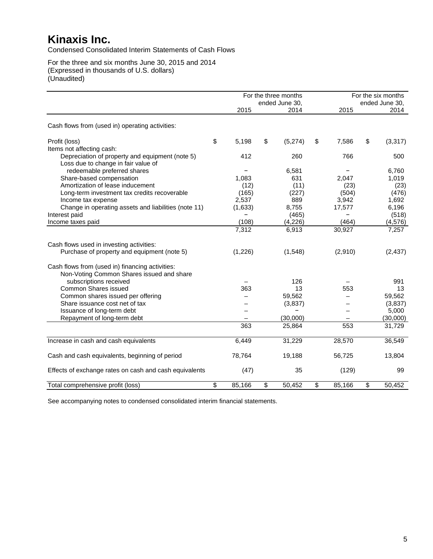Condensed Consolidated Interim Statements of Cash Flows

For the three and six months June 30, 2015 and 2014 (Expressed in thousands of U.S. dollars) (Unaudited)

|                                                        |              |         | For the three months   |              | For the six months     |
|--------------------------------------------------------|--------------|---------|------------------------|--------------|------------------------|
|                                                        |              | 2015    | ended June 30,<br>2014 | 2015         | ended June 30,<br>2014 |
|                                                        |              |         |                        |              |                        |
| Cash flows from (used in) operating activities:        |              |         |                        |              |                        |
| Profit (loss)                                          | $\mathbb{S}$ | 5,198   | \$<br>(5,274)          | \$<br>7,586  | \$<br>(3, 317)         |
| Items not affecting cash:                              |              |         |                        |              |                        |
| Depreciation of property and equipment (note 5)        |              | 412     | 260                    | 766          | 500                    |
| Loss due to change in fair value of                    |              |         |                        |              |                        |
| redeemable preferred shares                            |              |         | 6,581                  |              | 6,760                  |
| Share-based compensation                               |              | 1,083   | 631                    | 2,047        | 1,019                  |
| Amortization of lease inducement                       |              | (12)    | (11)                   | (23)         | (23)                   |
| Long-term investment tax credits recoverable           |              | (165)   | (227)                  | (504)        | (476)                  |
| Income tax expense                                     |              | 2,537   | 889                    | 3,942        | 1,692                  |
| Change in operating assets and liabilities (note 11)   |              | (1,633) | 8,755                  | 17,577       | 6,196                  |
| Interest paid                                          |              |         | (465)                  |              | (518)                  |
| Income taxes paid                                      |              | (108)   | (4, 226)               | (464)        | (4, 576)               |
|                                                        |              | 7,312   | 6,913                  | 30,927       | 7,257                  |
| Cash flows used in investing activities:               |              |         |                        |              |                        |
| Purchase of property and equipment (note 5)            |              | (1,226) | (1, 548)               | (2,910)      | (2, 437)               |
| Cash flows from (used in) financing activities:        |              |         |                        |              |                        |
| Non-Voting Common Shares issued and share              |              |         |                        |              |                        |
| subscriptions received                                 |              |         | 126                    |              | 991                    |
| Common Shares issued                                   |              | 363     | 13                     | 553          | 13                     |
| Common shares issued per offering                      |              |         | 59,562                 |              | 59,562                 |
| Share issuance cost net of tax                         |              |         | (3,837)                |              | (3,837)                |
| Issuance of long-term debt                             |              |         |                        |              | 5,000                  |
| Repayment of long-term debt                            |              |         | (30,000)               |              | (30,000)               |
|                                                        |              | 363     | 25,864                 | 553          | 31,729                 |
| Increase in cash and cash equivalents                  |              | 6,449   | 31,229                 | 28,570       | 36,549                 |
| Cash and cash equivalents, beginning of period         |              | 78,764  | 19,188                 | 56,725       | 13,804                 |
| Effects of exchange rates on cash and cash equivalents |              | (47)    | 35                     | (129)        | 99                     |
| Total comprehensive profit (loss)                      | \$           | 85,166  | \$<br>50,452           | \$<br>85,166 | \$<br>50,452           |

See accompanying notes to condensed consolidated interim financial statements.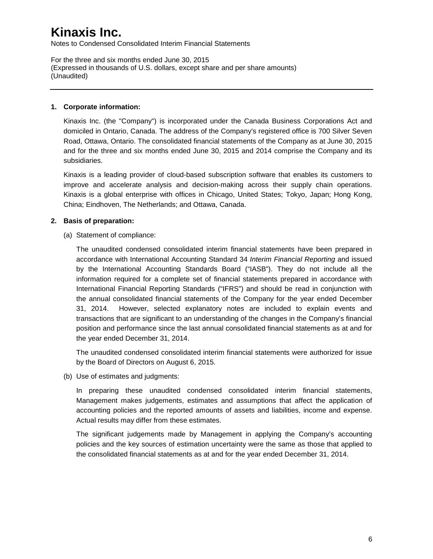Notes to Condensed Consolidated Interim Financial Statements

For the three and six months ended June 30, 2015 (Expressed in thousands of U.S. dollars, except share and per share amounts) (Unaudited)

### **1. Corporate information:**

Kinaxis Inc. (the "Company") is incorporated under the Canada Business Corporations Act and domiciled in Ontario, Canada. The address of the Company's registered office is 700 Silver Seven Road, Ottawa, Ontario. The consolidated financial statements of the Company as at June 30, 2015 and for the three and six months ended June 30, 2015 and 2014 comprise the Company and its subsidiaries.

Kinaxis is a leading provider of cloud-based subscription software that enables its customers to improve and accelerate analysis and decision-making across their supply chain operations. Kinaxis is a global enterprise with offices in Chicago, United States; Tokyo, Japan; Hong Kong, China; Eindhoven, The Netherlands; and Ottawa, Canada.

### **2. Basis of preparation:**

(a) Statement of compliance:

The unaudited condensed consolidated interim financial statements have been prepared in accordance with International Accounting Standard 34 *Interim Financial Reporting* and issued by the International Accounting Standards Board ("IASB"). They do not include all the information required for a complete set of financial statements prepared in accordance with International Financial Reporting Standards ("IFRS") and should be read in conjunction with the annual consolidated financial statements of the Company for the year ended December 31, 2014. However, selected explanatory notes are included to explain events and transactions that are significant to an understanding of the changes in the Company's financial position and performance since the last annual consolidated financial statements as at and for the year ended December 31, 2014.

The unaudited condensed consolidated interim financial statements were authorized for issue by the Board of Directors on August 6, 2015.

(b) Use of estimates and judgments:

In preparing these unaudited condensed consolidated interim financial statements, Management makes judgements, estimates and assumptions that affect the application of accounting policies and the reported amounts of assets and liabilities, income and expense. Actual results may differ from these estimates.

The significant judgements made by Management in applying the Company's accounting policies and the key sources of estimation uncertainty were the same as those that applied to the consolidated financial statements as at and for the year ended December 31, 2014.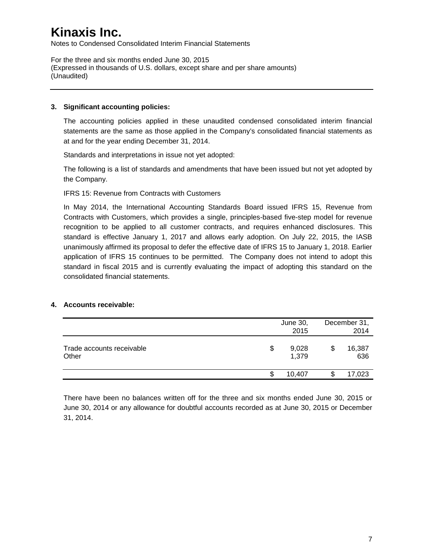Notes to Condensed Consolidated Interim Financial Statements

For the three and six months ended June 30, 2015 (Expressed in thousands of U.S. dollars, except share and per share amounts) (Unaudited)

### **3. Significant accounting policies:**

The accounting policies applied in these unaudited condensed consolidated interim financial statements are the same as those applied in the Company's consolidated financial statements as at and for the year ending December 31, 2014.

Standards and interpretations in issue not yet adopted:

The following is a list of standards and amendments that have been issued but not yet adopted by the Company.

### IFRS 15: Revenue from Contracts with Customers

In May 2014, the International Accounting Standards Board issued IFRS 15, Revenue from Contracts with Customers, which provides a single, principles-based five-step model for revenue recognition to be applied to all customer contracts, and requires enhanced disclosures. This standard is effective January 1, 2017 and allows early adoption. On July 22, 2015, the IASB unanimously affirmed its proposal to defer the effective date of IFRS 15 to January 1, 2018. Earlier application of IFRS 15 continues to be permitted. The Company does not intend to adopt this standard in fiscal 2015 and is currently evaluating the impact of adopting this standard on the consolidated financial statements.

### **4. Accounts receivable:**

|                                    |    | June 30,<br>2015 | December 31,<br>2014 |
|------------------------------------|----|------------------|----------------------|
| Trade accounts receivable<br>Other | \$ | 9,028<br>1,379   | \$<br>16,387<br>636  |
|                                    | S  | 10.407           | 17,023               |

There have been no balances written off for the three and six months ended June 30, 2015 or June 30, 2014 or any allowance for doubtful accounts recorded as at June 30, 2015 or December 31, 2014.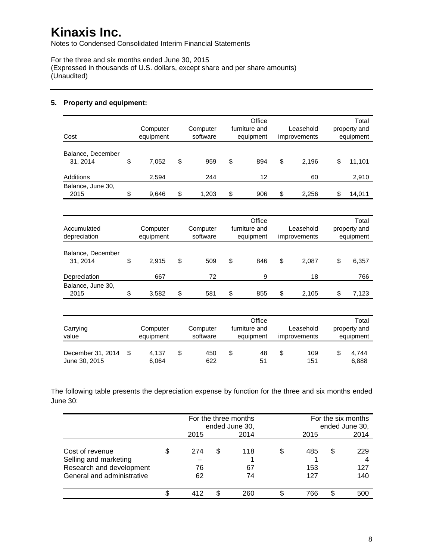Notes to Condensed Consolidated Interim Financial Statements

For the three and six months ended June 30, 2015 (Expressed in thousands of U.S. dollars, except share and per share amounts) (Unaudited)

### **5. Property and equipment:**

| Cost                          | Computer<br>equipment | Computer<br>software | Office<br>furniture and<br>equipment |     |    | Leasehold<br>improvements | Total<br>property and<br>equipment |        |  |
|-------------------------------|-----------------------|----------------------|--------------------------------------|-----|----|---------------------------|------------------------------------|--------|--|
| Balance, December<br>31, 2014 | \$<br>7,052           | \$<br>959            | \$                                   | 894 | \$ | 2.196                     | \$                                 | 11,101 |  |
| Additions                     | 2,594                 | 244                  |                                      | 12  |    | 60                        |                                    | 2,910  |  |
| Balance, June 30,<br>2015     | \$<br>9,646           | \$<br>1.203          | \$                                   | 906 | \$ | 2.256                     | \$                                 | 14,011 |  |

| Accumulated<br>depreciation  | Computer<br>equipment |    | Office<br>furniture and<br>Computer<br>software<br>equipment |    | Leasehold<br>improvements | Total<br>property and<br>equipment |    |       |
|------------------------------|-----------------------|----|--------------------------------------------------------------|----|---------------------------|------------------------------------|----|-------|
| Balance, December<br>31.2014 | \$<br>2.915           | \$ | 509                                                          | \$ | 846                       | \$<br>2.087                        | \$ | 6,357 |
| Depreciation                 | 667                   |    | 72                                                           |    | 9                         | 18                                 |    | 766   |
| Balance, June 30,<br>2015    | \$<br>3,582           | \$ | 581                                                          | \$ | 855                       | \$<br>2.105                        | \$ | 7,123 |

| Carrying<br>value                  | Computer<br>equipment | Computer<br>software |  | Office<br>furniture and<br>equipment | Leasehold<br><i>improvements</i> | Total<br>property and<br>equipment |                |  |
|------------------------------------|-----------------------|----------------------|--|--------------------------------------|----------------------------------|------------------------------------|----------------|--|
| December 31, 2014<br>June 30, 2015 | 4.137<br>6,064        | \$<br>450<br>622     |  | 48<br>51                             | 109<br>151                       |                                    | 4.744<br>6.888 |  |

The following table presents the depreciation expense by function for the three and six months ended June 30:

|                                                                                                    |                 |   | For the three months<br>ended June 30, |   | For the six months<br>ended June 30, |    |                   |  |  |  |
|----------------------------------------------------------------------------------------------------|-----------------|---|----------------------------------------|---|--------------------------------------|----|-------------------|--|--|--|
|                                                                                                    | 2015            |   | 2014                                   |   | 2015                                 |    |                   |  |  |  |
| Cost of revenue<br>Selling and marketing<br>Research and development<br>General and administrative | 274<br>76<br>62 | S | 118<br>67<br>74                        | S | 485<br>153<br>127                    | \$ | 229<br>127<br>140 |  |  |  |
|                                                                                                    | 412             |   | 260                                    |   | 766                                  |    | 500               |  |  |  |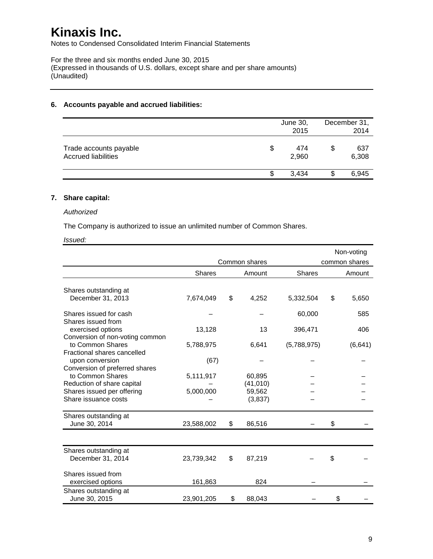Notes to Condensed Consolidated Interim Financial Statements

For the three and six months ended June 30, 2015 (Expressed in thousands of U.S. dollars, except share and per share amounts) (Unaudited)

#### **6. Accounts payable and accrued liabilities:**

|                                                      |     | June 30,<br>2015 | December 31,<br>2014 |
|------------------------------------------------------|-----|------------------|----------------------|
| Trade accounts payable<br><b>Accrued liabilities</b> | \$  | 474<br>2,960     | 637<br>6,308         |
|                                                      | \$. | 3.434            | 6,945                |

### **7. Share capital:**

#### *Authorized*

The Company is authorized to issue an unlimited number of Common Shares.

#### *Issued:*

|                                                                                    |            |                     |               | Non-voting    |
|------------------------------------------------------------------------------------|------------|---------------------|---------------|---------------|
|                                                                                    |            | Common shares       |               | common shares |
|                                                                                    | Shares     | Amount              | <b>Shares</b> | Amount        |
| Shares outstanding at                                                              |            |                     |               |               |
| December 31, 2013                                                                  | 7,674,049  | \$<br>4,252         | 5,332,504     | \$<br>5,650   |
| Shares issued for cash                                                             |            |                     | 60,000        | 585           |
| Shares issued from<br>exercised options                                            | 13,128     | 13                  | 396,471       | 406           |
| Conversion of non-voting common<br>to Common Shares<br>Fractional shares cancelled | 5,788,975  | 6,641               | (5,788,975)   | (6, 641)      |
| upon conversion<br>Conversion of preferred shares                                  | (67)       |                     |               |               |
| to Common Shares                                                                   | 5,111,917  | 60.895<br>(41, 010) |               |               |
| Reduction of share capital<br>Shares issued per offering<br>Share issuance costs   | 5,000,000  | 59,562<br>(3,837)   |               |               |
| Shares outstanding at<br>June 30, 2014                                             | 23,588,002 | \$<br>86,516        |               | \$            |
|                                                                                    |            |                     |               |               |
| Shares outstanding at<br>December 31, 2014                                         | 23,739,342 | \$<br>87,219        |               | \$            |
| Shares issued from<br>exercised options                                            | 161,863    | 824                 |               |               |
| Shares outstanding at<br>June 30, 2015                                             | 23,901,205 | \$<br>88,043        |               | \$            |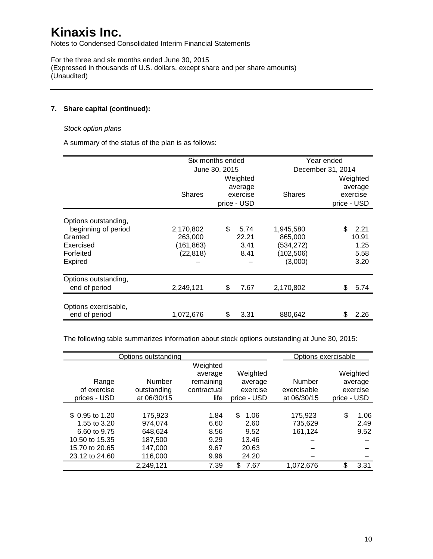Notes to Condensed Consolidated Interim Financial Statements

For the three and six months ended June 30, 2015 (Expressed in thousands of U.S. dollars, except share and per share amounts) (Unaudited)

### **7. Share capital (continued):**

#### *Stock option plans*

A summary of the status of the plan is as follows:

|                                       | Six months ended |               |             |               | Year ended        |          |  |
|---------------------------------------|------------------|---------------|-------------|---------------|-------------------|----------|--|
|                                       |                  | June 30, 2015 |             |               | December 31, 2014 |          |  |
|                                       |                  |               | Weighted    |               | Weighted          |          |  |
|                                       |                  |               | average     |               |                   | average  |  |
|                                       | <b>Shares</b>    | exercise      |             | <b>Shares</b> |                   | exercise |  |
|                                       |                  |               | price - USD |               | price - USD       |          |  |
| Options outstanding,                  |                  |               |             |               |                   |          |  |
| beginning of period                   | 2,170,802        | \$            | 5.74        | 1,945,580     | \$.               | 2.21     |  |
| Granted                               | 263,000          |               | 22.21       | 865,000       |                   | 10.91    |  |
| Exercised                             | (161,863)        |               | 3.41        | (534,272)     |                   | 1.25     |  |
| Forfeited                             | (22, 818)        |               | 8.41        | (102, 506)    |                   | 5.58     |  |
| Expired                               |                  |               |             | (3,000)       |                   | 3.20     |  |
| Options outstanding,                  |                  |               |             |               |                   |          |  |
| end of period                         | 2,249,121        | \$            | 7.67        | 2,170,802     | \$                | 5.74     |  |
|                                       |                  |               |             |               |                   |          |  |
| Options exercisable,<br>end of period | 1,072,676        | \$            | 3.31        | 880,642       | \$                | 2.26     |  |

The following table summarizes information about stock options outstanding at June 30, 2015:

|                 | Options outstanding |                                  |                     | Options exercisable |             |                     |
|-----------------|---------------------|----------------------------------|---------------------|---------------------|-------------|---------------------|
| Range           | Number              | Weighted<br>average<br>remaining | Weighted<br>average | Number              |             | Weighted<br>average |
| of exercise     | outstanding         | contractual                      | exercise            | exercisable         |             | exercise            |
| prices - USD    | at 06/30/15         | life                             | price - USD         | at 06/30/15         | price - USD |                     |
| \$ 0.95 to 1.20 | 175.923             | 1.84                             | \$.<br>1.06         | 175.923             | \$          | 1.06                |
| 1.55 to 3.20    | 974.074             | 6.60                             | 2.60                | 735,629             |             | 2.49                |
| 6.60 to 9.75    | 648.624             | 8.56                             | 9.52                | 161,124             |             | 9.52                |
| 10.50 to 15.35  | 187,500             | 9.29                             | 13.46               |                     |             |                     |
| 15.70 to 20.65  | 147.000             | 9.67                             | 20.63               |                     |             |                     |
| 23.12 to 24.60  | 116,000             | 9.96                             | 24.20               |                     |             |                     |
|                 | 2,249,121           | 7.39                             | \$<br>7.67          | 1,072,676           | \$          | 3.31                |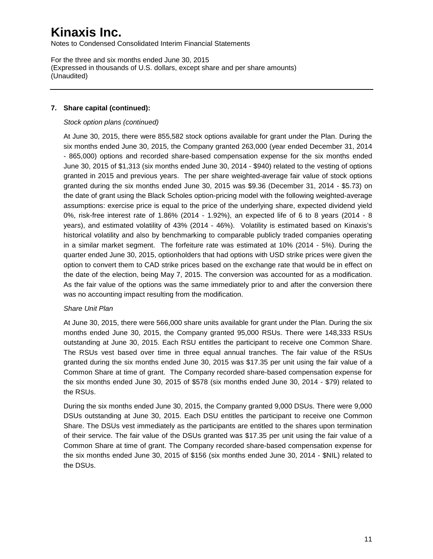Notes to Condensed Consolidated Interim Financial Statements

For the three and six months ended June 30, 2015 (Expressed in thousands of U.S. dollars, except share and per share amounts) (Unaudited)

### **7. Share capital (continued):**

#### *Stock option plans (continued)*

At June 30, 2015, there were 855,582 stock options available for grant under the Plan. During the six months ended June 30, 2015, the Company granted 263,000 (year ended December 31, 2014 - 865,000) options and recorded share-based compensation expense for the six months ended June 30, 2015 of \$1,313 (six months ended June 30, 2014 - \$940) related to the vesting of options granted in 2015 and previous years. The per share weighted-average fair value of stock options granted during the six months ended June 30, 2015 was \$9.36 (December 31, 2014 - \$5.73) on the date of grant using the Black Scholes option-pricing model with the following weighted-average assumptions: exercise price is equal to the price of the underlying share, expected dividend yield 0%, risk-free interest rate of 1.86% (2014 - 1.92%), an expected life of 6 to 8 years (2014 - 8 years), and estimated volatility of 43% (2014 - 46%). Volatility is estimated based on Kinaxis's historical volatility and also by benchmarking to comparable publicly traded companies operating in a similar market segment. The forfeiture rate was estimated at 10% (2014 - 5%). During the quarter ended June 30, 2015, optionholders that had options with USD strike prices were given the option to convert them to CAD strike prices based on the exchange rate that would be in effect on the date of the election, being May 7, 2015. The conversion was accounted for as a modification. As the fair value of the options was the same immediately prior to and after the conversion there was no accounting impact resulting from the modification.

### *Share Unit Plan*

At June 30, 2015, there were 566,000 share units available for grant under the Plan. During the six months ended June 30, 2015, the Company granted 95,000 RSUs. There were 148,333 RSUs outstanding at June 30, 2015. Each RSU entitles the participant to receive one Common Share. The RSUs vest based over time in three equal annual tranches. The fair value of the RSUs granted during the six months ended June 30, 2015 was \$17.35 per unit using the fair value of a Common Share at time of grant. The Company recorded share-based compensation expense for the six months ended June 30, 2015 of \$578 (six months ended June 30, 2014 - \$79) related to the RSUs.

During the six months ended June 30, 2015, the Company granted 9,000 DSUs. There were 9,000 DSUs outstanding at June 30, 2015. Each DSU entitles the participant to receive one Common Share. The DSUs vest immediately as the participants are entitled to the shares upon termination of their service. The fair value of the DSUs granted was \$17.35 per unit using the fair value of a Common Share at time of grant. The Company recorded share-based compensation expense for the six months ended June 30, 2015 of \$156 (six months ended June 30, 2014 - \$NIL) related to the DSUs.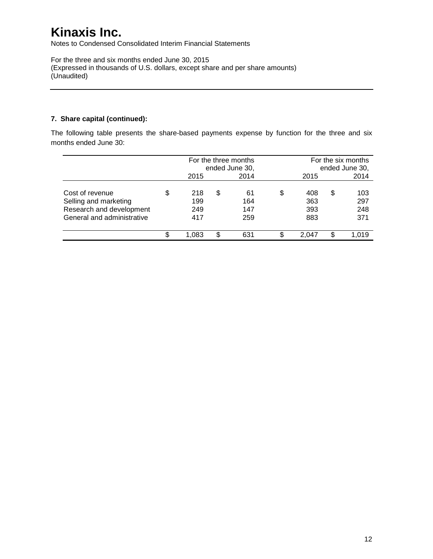Notes to Condensed Consolidated Interim Financial Statements

For the three and six months ended June 30, 2015 (Expressed in thousands of U.S. dollars, except share and per share amounts) (Unaudited)

### **7. Share capital (continued):**

The following table presents the share-based payments expense by function for the three and six months ended June 30:

|                                                                                                    |   | For the three months<br>ended June 30, |   |                         |    | For the six months<br>ended June 30, |   |                          |
|----------------------------------------------------------------------------------------------------|---|----------------------------------------|---|-------------------------|----|--------------------------------------|---|--------------------------|
|                                                                                                    |   | 2015                                   |   | 2014                    |    | 2015                                 |   | 2014                     |
| Cost of revenue<br>Selling and marketing<br>Research and development<br>General and administrative | S | 218<br>199<br>249<br>417               | S | 61<br>164<br>147<br>259 | \$ | 408<br>363<br>393<br>883             | S | 103<br>297<br>248<br>371 |
|                                                                                                    |   | 1.083                                  |   | 631                     | S  | 2.047                                |   | 1.019                    |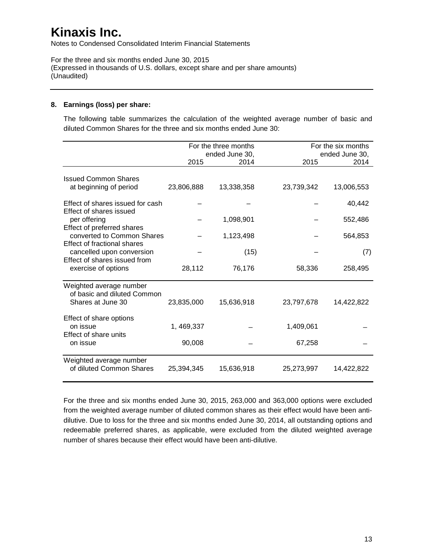Notes to Condensed Consolidated Interim Financial Statements

For the three and six months ended June 30, 2015 (Expressed in thousands of U.S. dollars, except share and per share amounts) (Unaudited)

### **8. Earnings (loss) per share:**

The following table summarizes the calculation of the weighted average number of basic and diluted Common Shares for the three and six months ended June 30:

|                                                                             |             | For the three months<br>ended June 30, |            | For the six months<br>ended June 30, |
|-----------------------------------------------------------------------------|-------------|----------------------------------------|------------|--------------------------------------|
|                                                                             | 2015        | 2014                                   | 2015       | 2014                                 |
| <b>Issued Common Shares</b><br>at beginning of period                       | 23,806,888  | 13,338,358                             | 23,739,342 | 13,006,553                           |
| Effect of shares issued for cash<br>Effect of shares issued                 |             |                                        |            | 40,442                               |
| per offering<br>Effect of preferred shares                                  |             | 1,098,901                              |            | 552,486                              |
| converted to Common Shares<br><b>Effect of fractional shares</b>            |             | 1,123,498                              |            | 564,853                              |
| cancelled upon conversion                                                   |             | (15)                                   |            | (7)                                  |
| Effect of shares issued from<br>exercise of options                         | 28,112      | 76,176                                 | 58,336     | 258,495                              |
| Weighted average number<br>of basic and diluted Common<br>Shares at June 30 | 23,835,000  | 15,636,918                             | 23,797,678 | 14,422,822                           |
| Effect of share options<br>on issue<br>Effect of share units                | 1, 469, 337 |                                        | 1,409,061  |                                      |
| on issue                                                                    | 90,008      |                                        | 67,258     |                                      |
| Weighted average number<br>of diluted Common Shares                         | 25,394,345  | 15,636,918                             | 25,273,997 | 14,422,822                           |

For the three and six months ended June 30, 2015, 263,000 and 363,000 options were excluded from the weighted average number of diluted common shares as their effect would have been antidilutive. Due to loss for the three and six months ended June 30, 2014, all outstanding options and redeemable preferred shares, as applicable, were excluded from the diluted weighted average number of shares because their effect would have been anti-dilutive.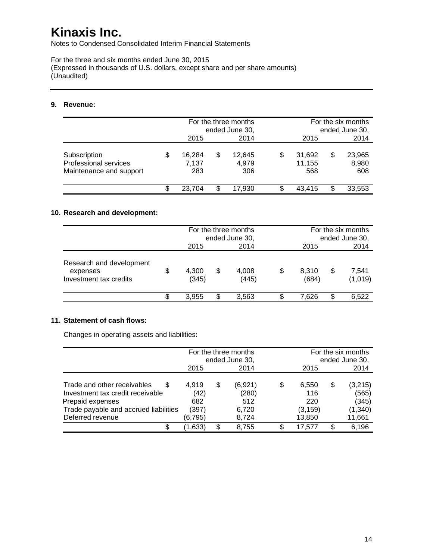Notes to Condensed Consolidated Interim Financial Statements

For the three and six months ended June 30, 2015 (Expressed in thousands of U.S. dollars, except share and per share amounts) (Unaudited)

### **9. Revenue:**

|                         |    |        |   | For the three months |   |        | For the six months |                |  |
|-------------------------|----|--------|---|----------------------|---|--------|--------------------|----------------|--|
|                         |    |        |   | ended June 30,       |   |        |                    | ended June 30, |  |
|                         |    | 2015   |   | 2014                 |   | 2015   |                    | 2014           |  |
|                         |    |        |   |                      |   |        |                    |                |  |
| Subscription            | \$ | 16.284 | S | 12.645               | S | 31.692 | \$                 | 23,965         |  |
| Professional services   |    | 7,137  |   | 4,979                |   | 11.155 |                    | 8,980          |  |
| Maintenance and support |    | 283    |   | 306                  |   | 568    |                    | 608            |  |
|                         |    |        |   |                      |   |        |                    |                |  |
|                         | S  | 23.704 | S | 17,930               | S | 43.415 |                    | 33,553         |  |

### **10. Research and development:**

|                                                                |    | For the three months<br>ended June 30, |    |                | For the six months<br>ended June 30, |   |                  |
|----------------------------------------------------------------|----|----------------------------------------|----|----------------|--------------------------------------|---|------------------|
|                                                                |    | 2015                                   |    | 2014           | 2015                                 |   | 2014             |
| Research and development<br>expenses<br>Investment tax credits | \$ | 4,300<br>(345)                         | \$ | 4,008<br>(445) | \$<br>8,310<br>(684)                 | S | 7,541<br>(1,019) |
|                                                                | S  | 3.955                                  | S. | 3,563          | \$<br>7.626                          |   | 6.522            |

### **11. Statement of cash flows:**

Changes in operating assets and liabilities:

|                                                                      |               | For the three months<br>ended June 30, |                  |   | For the six months<br>ended June 30, |   |                  |
|----------------------------------------------------------------------|---------------|----------------------------------------|------------------|---|--------------------------------------|---|------------------|
|                                                                      | 2015          |                                        | 2014             |   | 2015                                 |   | 2014             |
| Trade and other receivables<br>S<br>Investment tax credit receivable | 4.919<br>(42) | \$                                     | (6,921)<br>(280) | S | 6,550<br>116                         | S | (3,215)<br>(565) |
| Prepaid expenses                                                     | 682           |                                        | 512              |   | 220                                  |   | (345)            |
| Trade payable and accrued liabilities                                | (397)         |                                        | 6,720            |   | (3, 159)                             |   | (1,340)          |
| Deferred revenue                                                     | (6,795)       |                                        | 8,724            |   | 13,850                               |   | 11,661           |
| S                                                                    | (1,633)       | \$                                     | 8,755            |   | 17.577                               |   | 6,196            |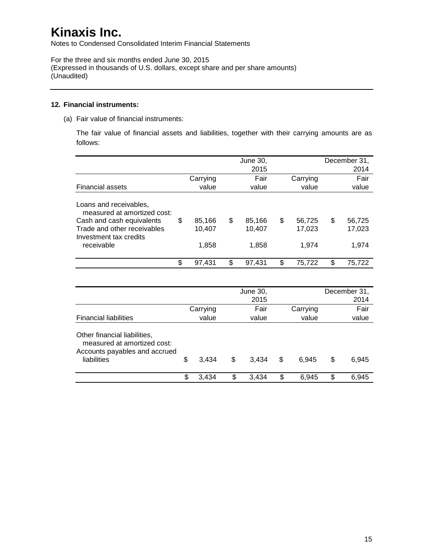Notes to Condensed Consolidated Interim Financial Statements

For the three and six months ended June 30, 2015 (Expressed in thousands of U.S. dollars, except share and per share amounts) (Unaudited)

### **12. Financial instruments:**

(a) Fair value of financial instruments:

The fair value of financial assets and liabilities, together with their carrying amounts are as follows:

|                                                                                                                                                           |                                 |     | June 30,<br>2015          |                                 | December 31,<br>2014            |
|-----------------------------------------------------------------------------------------------------------------------------------------------------------|---------------------------------|-----|---------------------------|---------------------------------|---------------------------------|
|                                                                                                                                                           | Carrying                        |     | Fair                      | Carrying                        | Fair                            |
| <b>Financial assets</b>                                                                                                                                   | value                           |     | value                     | value                           | value                           |
| Loans and receivables,<br>measured at amortized cost:<br>Cash and cash equivalents<br>Trade and other receivables<br>Investment tax credits<br>receivable | \$<br>85,166<br>10,407<br>1,858 | \$  | 85.166<br>10.407<br>1,858 | \$<br>56,725<br>17,023<br>1.974 | \$<br>56,725<br>17,023<br>1.974 |
|                                                                                                                                                           | \$<br>97,431                    | \$. | 97,431                    | \$<br>75,722                    | \$<br>75,722                    |

|                                                                                                             |             | June 30,<br>2015 |             | December 31,<br>2014 |
|-------------------------------------------------------------------------------------------------------------|-------------|------------------|-------------|----------------------|
|                                                                                                             | Carrying    | Fair             | Carrying    | Fair                 |
| <b>Financial liabilities</b>                                                                                | value       | value            | value       | value                |
| Other financial liabilities,<br>measured at amortized cost:<br>Accounts payables and accrued<br>liabilities | \$<br>3.434 | \$<br>3.434      | \$<br>6.945 | \$<br>6,945          |
|                                                                                                             | \$<br>3.434 | \$<br>3,434      | \$<br>6,945 | \$<br>6.945          |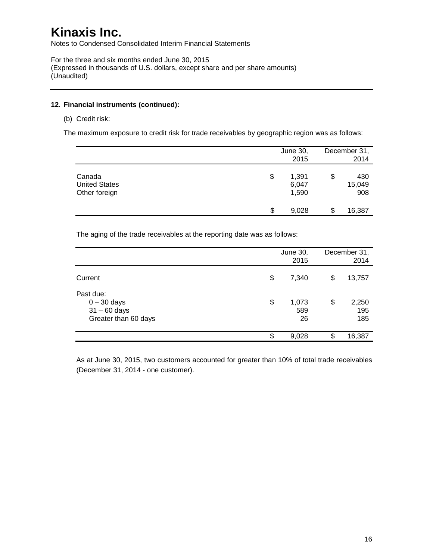Notes to Condensed Consolidated Interim Financial Statements

For the three and six months ended June 30, 2015 (Expressed in thousands of U.S. dollars, except share and per share amounts) (Unaudited)

### **12. Financial instruments (continued):**

(b) Credit risk:

The maximum exposure to credit risk for trade receivables by geographic region was as follows:

|                                                 | June 30,<br>2015              |    | December 31,<br>2014 |
|-------------------------------------------------|-------------------------------|----|----------------------|
| Canada<br><b>United States</b><br>Other foreign | \$<br>1,391<br>6,047<br>1,590 | \$ | 430<br>15,049<br>908 |
|                                                 | \$<br>9,028                   | S  | 16,387               |

The aging of the trade receivables at the reporting date was as follows:

|                                                                      |    | <b>June 30,</b><br>2015 | December 31,<br>2014 |                     |  |
|----------------------------------------------------------------------|----|-------------------------|----------------------|---------------------|--|
| Current                                                              | \$ | 7,340                   | S                    | 13,757              |  |
| Past due:<br>$0 - 30$ days<br>$31 - 60$ days<br>Greater than 60 days | \$ | 1,073<br>589<br>26      | \$                   | 2,250<br>195<br>185 |  |
|                                                                      | S  | 9,028                   | ß.                   | 16,387              |  |

As at June 30, 2015, two customers accounted for greater than 10% of total trade receivables (December 31, 2014 - one customer).